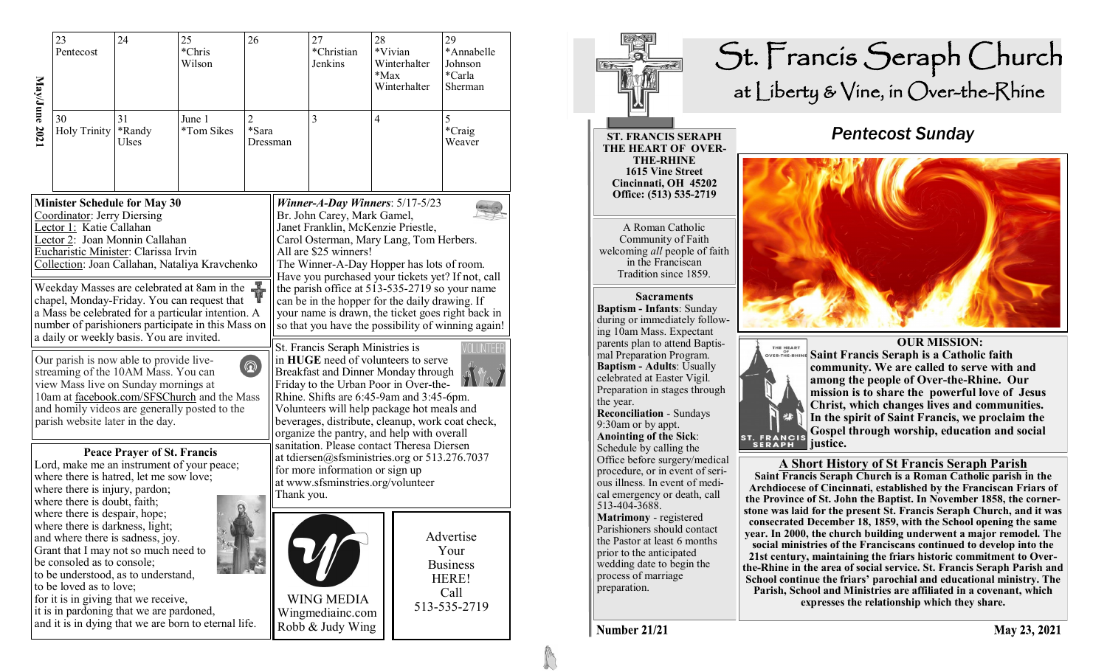|                                                                                                                                                                                                                                                                                                                                                                                                                                      | 23<br>Pentecost                                                                                                                                                                                                                                                                                                                                                                          | 24                    | 25<br>*Chris<br>Wilson | 26                                  |                                                                                                                                                                                   | 27<br>*Christian<br>Jenkins                                                                                                                                                                                                                                                                                                                                                                                                                                                                 | 28<br>$*$ Max | *Vivian<br>Winterhalter<br>Winterhalter | 29<br>*Annabelle<br>Johnson<br>*Carla<br>Sherman                      |  |
|--------------------------------------------------------------------------------------------------------------------------------------------------------------------------------------------------------------------------------------------------------------------------------------------------------------------------------------------------------------------------------------------------------------------------------------|------------------------------------------------------------------------------------------------------------------------------------------------------------------------------------------------------------------------------------------------------------------------------------------------------------------------------------------------------------------------------------------|-----------------------|------------------------|-------------------------------------|-----------------------------------------------------------------------------------------------------------------------------------------------------------------------------------|---------------------------------------------------------------------------------------------------------------------------------------------------------------------------------------------------------------------------------------------------------------------------------------------------------------------------------------------------------------------------------------------------------------------------------------------------------------------------------------------|---------------|-----------------------------------------|-----------------------------------------------------------------------|--|
| May/June 2021                                                                                                                                                                                                                                                                                                                                                                                                                        | 30<br><b>Holy Trinity</b>                                                                                                                                                                                                                                                                                                                                                                | 31<br>*Randy<br>Ulses | June 1<br>*Tom Sikes   | $\overline{c}$<br>*Sara<br>Dressman |                                                                                                                                                                                   | 3                                                                                                                                                                                                                                                                                                                                                                                                                                                                                           | 4             |                                         | 5<br>$\rm ^*Craig$<br>Weaver                                          |  |
| <b>Minister Schedule for May 30</b><br>Coordinator: Jerry Diersing<br>Lector 1: Katie Callahan<br>Lector 2: Joan Monnin Callahan<br>Eucharistic Minister: Clarissa Irvin<br>Collection: Joan Callahan, Nataliya Kravchenko<br>Weekday Masses are celebrated at 8am in the<br>chapel, Monday-Friday. You can request that<br>a Mass be celebrated for a particular intention. A<br>number of parishioners participate in this Mass on |                                                                                                                                                                                                                                                                                                                                                                                          |                       |                        |                                     |                                                                                                                                                                                   | Winner-A-Day Winners: $5/17-5/23$<br>Br. John Carey, Mark Gamel,<br>Janet Franklin, McKenzie Priestle,<br>Carol Osterman, Mary Lang, Tom Herbers.<br>All are \$25 winners!<br>The Winner-A-Day Hopper has lots of room.<br>Have you purchased your tickets yet? If not, call<br>the parish office at 513-535-2719 so your name<br>can be in the hopper for the daily drawing. If<br>your name is drawn, the ticket goes right back in<br>so that you have the possibility of winning again! |               |                                         |                                                                       |  |
| a daily or weekly basis. You are invited.<br>Our parish is now able to provide live-<br>$\circledR$<br>streaming of the 10AM Mass. You can<br>view Mass live on Sunday mornings at<br>10am at facebook.com/SFSChurch and the Mass<br>and homily videos are generally posted to the<br>parish website later in the day.                                                                                                               |                                                                                                                                                                                                                                                                                                                                                                                          |                       |                        |                                     |                                                                                                                                                                                   | St. Francis Seraph Ministries is<br>in HUGE need of volunteers to serve<br>Breakfast and Dinner Monday through<br>Friday to the Urban Poor in Over-the-<br>Rhine. Shifts are 6:45-9am and 3:45-6pm.<br>Volunteers will help package hot meals and<br>beverages, distribute, cleanup, work coat check,<br>organize the pantry, and help with overall                                                                                                                                         |               |                                         |                                                                       |  |
| <b>Peace Prayer of St. Francis</b><br>Lord, make me an instrument of your peace;<br>where there is hatred, let me sow love;<br>where there is injury, pardon;<br>where there is doubt, faith;                                                                                                                                                                                                                                        |                                                                                                                                                                                                                                                                                                                                                                                          |                       |                        |                                     | sanitation. Please contact Theresa Diersen<br>at tdiersen@sfsministries.org or 513.276.7037<br>for more information or sign up<br>at www.sfsminstries.org/volunteer<br>Thank you. |                                                                                                                                                                                                                                                                                                                                                                                                                                                                                             |               |                                         |                                                                       |  |
|                                                                                                                                                                                                                                                                                                                                                                                                                                      | where there is despair, hope;<br>where there is darkness, light;<br>and where there is sadness, joy.<br>Grant that I may not so much need to<br>be consoled as to console;<br>to be understood, as to understand,<br>to be loved as to love;<br>for it is in giving that we receive,<br>it is in pardoning that we are pardoned,<br>and it is in dying that we are born to eternal life. |                       |                        |                                     |                                                                                                                                                                                   | <b>WING MEDIA</b><br>Wingmediainc.com<br>Robb & Judy Wing                                                                                                                                                                                                                                                                                                                                                                                                                                   |               |                                         | Advertise<br>Your<br><b>Business</b><br>HERE!<br>Call<br>513-535-2719 |  |



**Number 21/21** 

May 23, 2021